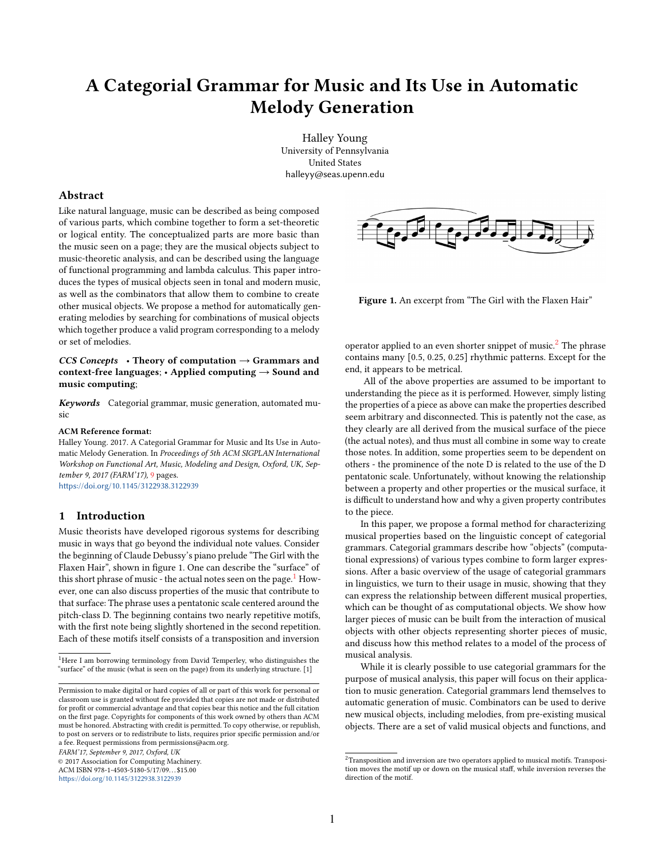# A Categorial Grammar for Music and Its Use in Automatic Melody Generation

Halley Young University of Pennsylvania United States halleyy@seas.upenn.edu

## Abstract

Like natural language, music can be described as being composed of various parts, which combine together to form a set-theoretic or logical entity. The conceptualized parts are more basic than the music seen on a page; they are the musical objects subject to music-theoretic analysis, and can be described using the language of functional programming and lambda calculus. This paper introduces the types of musical objects seen in tonal and modern music, as well as the combinators that allow them to combine to create other musical objects. We propose a method for automatically generating melodies by searching for combinations of musical objects which together produce a valid program corresponding to a melody or set of melodies.

CCS Concepts • Theory of computation  $\rightarrow$  Grammars and context-free languages; • Applied computing  $\rightarrow$  Sound and music computing;

Keywords Categorial grammar, music generation, automated music

#### ACM Reference format:

Halley Young. 2017. A Categorial Grammar for Music and Its Use in Automatic Melody Generation. In Proceedings of 5th ACM SIGPLAN International Workshop on Functional Art, Music, Modeling and Design, Oxford, UK, September 9, 2017 (FARM'17), [9](#page-8-0) pages.

<https://doi.org/10.1145/3122938.3122939>

## 1 Introduction

Music theorists have developed rigorous systems for describing music in ways that go beyond the individual note values. Consider the beginning of Claude Debussy's piano prelude "The Girl with the Flaxen Hair", shown in figure 1. One can describe the "surface" of this short phrase of music - the actual notes seen on the page.<sup>[1](#page-0-0)</sup> However, one can also discuss properties of the music that contribute to that surface: The phrase uses a pentatonic scale centered around the pitch-class D. The beginning contains two nearly repetitive motifs, with the first note being slightly shortened in the second repetition. Each of these motifs itself consists of a transposition and inversion

FARM'17, September 9, 2017, Oxford, UK

© 2017 Association for Computing Machinery.

ACM ISBN 978-1-4503-5180-5/17/09. . . \$15.00 <https://doi.org/10.1145/3122938.3122939>



Figure 1. An excerpt from "The Girl with the Flaxen Hair"

operator applied to an even shorter snippet of music.<sup>[2](#page-0-1)</sup> The phrase contains many [0.5, 0.25, 0.25] rhythmic patterns. Except for the end, it appears to be metrical.

All of the above properties are assumed to be important to understanding the piece as it is performed. However, simply listing the properties of a piece as above can make the properties described seem arbitrary and disconnected. This is patently not the case, as they clearly are all derived from the musical surface of the piece (the actual notes), and thus must all combine in some way to create those notes. In addition, some properties seem to be dependent on others - the prominence of the note D is related to the use of the D pentatonic scale. Unfortunately, without knowing the relationship between a property and other properties or the musical surface, it is difficult to understand how and why a given property contributes to the piece.

In this paper, we propose a formal method for characterizing musical properties based on the linguistic concept of categorial grammars. Categorial grammars describe how "objects" (computational expressions) of various types combine to form larger expressions. After a basic overview of the usage of categorial grammars in linguistics, we turn to their usage in music, showing that they can express the relationship between different musical properties, which can be thought of as computational objects. We show how larger pieces of music can be built from the interaction of musical objects with other objects representing shorter pieces of music, and discuss how this method relates to a model of the process of musical analysis.

While it is clearly possible to use categorial grammars for the purpose of musical analysis, this paper will focus on their application to music generation. Categorial grammars lend themselves to automatic generation of music. Combinators can be used to derive new musical objects, including melodies, from pre-existing musical objects. There are a set of valid musical objects and functions, and

<span id="page-0-0"></span> $^{\rm 1}$  Here I am borrowing terminology from David Temperley, who distinguishes the "surface" of the music (what is seen on the page) from its underlying structure. [1]

Permission to make digital or hard copies of all or part of this work for personal or classroom use is granted without fee provided that copies are not made or distributed for profit or commercial advantage and that copies bear this notice and the full citation on the first page. Copyrights for components of this work owned by others than ACM must be honored. Abstracting with credit is permitted. To copy otherwise, or republish, to post on servers or to redistribute to lists, requires prior specific permission and/or a fee. Request permissions from permissions@acm.org.

<span id="page-0-1"></span> $2$ Transposition and inversion are two operators applied to musical motifs. Transposition moves the motif up or down on the musical staff, while inversion reverses the direction of the motif.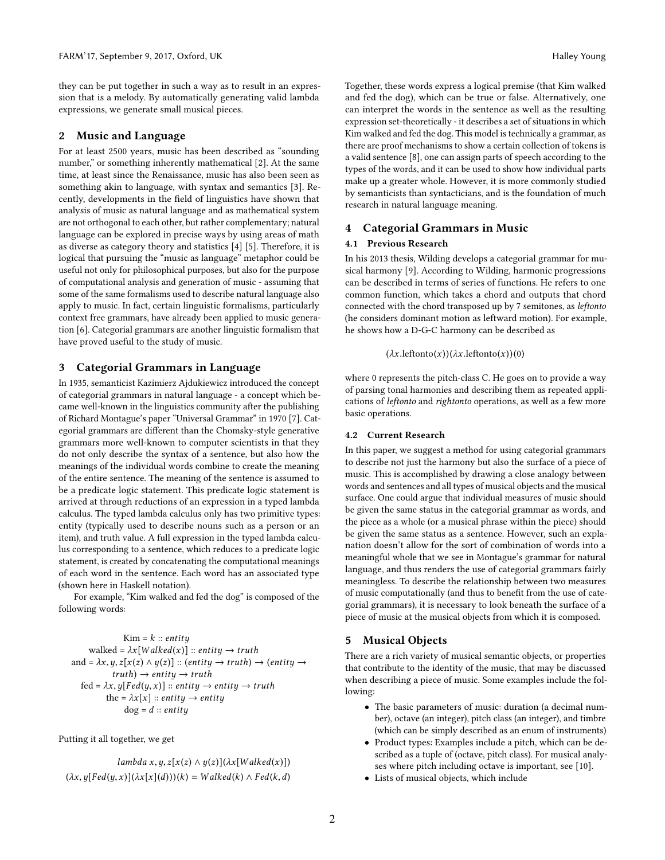they can be put together in such a way as to result in an expression that is a melody. By automatically generating valid lambda expressions, we generate small musical pieces.

## 2 Music and Language

For at least 2500 years, music has been described as "sounding number," or something inherently mathematical [2]. At the same time, at least since the Renaissance, music has also been seen as something akin to language, with syntax and semantics [3]. Recently, developments in the field of linguistics have shown that analysis of music as natural language and as mathematical system are not orthogonal to each other, but rather complementary; natural language can be explored in precise ways by using areas of math as diverse as category theory and statistics [4] [5]. Therefore, it is logical that pursuing the "music as language" metaphor could be useful not only for philosophical purposes, but also for the purpose of computational analysis and generation of music - assuming that some of the same formalisms used to describe natural language also apply to music. In fact, certain linguistic formalisms, particularly context free grammars, have already been applied to music generation [6]. Categorial grammars are another linguistic formalism that have proved useful to the study of music.

## 3 Categorial Grammars in Language

In 1935, semanticist Kazimierz Ajdukiewicz introduced the concept of categorial grammars in natural language - a concept which became well-known in the linguistics community after the publishing of Richard Montague's paper "Universal Grammar" in 1970 [7]. Categorial grammars are different than the Chomsky-style generative grammars more well-known to computer scientists in that they do not only describe the syntax of a sentence, but also how the meanings of the individual words combine to create the meaning of the entire sentence. The meaning of the sentence is assumed to be a predicate logic statement. This predicate logic statement is arrived at through reductions of an expression in a typed lambda calculus. The typed lambda calculus only has two primitive types: entity (typically used to describe nouns such as a person or an item), and truth value. A full expression in the typed lambda calculus corresponding to a sentence, which reduces to a predicate logic statement, is created by concatenating the computational meanings of each word in the sentence. Each word has an associated type (shown here in Haskell notation).

For example, "Kim walked and fed the dog" is composed of the following words:

 $Kim = k :: entity$ walked =  $\lambda x$ [Walked(x)] :: entity  $\rightarrow$  truth and =  $\lambda x, y, z[x(z) \land y(z)]$  :: (entity  $\rightarrow$  truth)  $\rightarrow$  (entity  $\rightarrow$  $truth) \rightarrow entity \rightarrow truth$ fed =  $\lambda x, y[Fed(y, x)]$  :: entity  $\rightarrow$  entity  $\rightarrow$  truth the =  $\lambda x[x] :: entity \rightarrow entity$  $dog = d :: entity$ 

Putting it all together, we get

lambda x, y, z[ $x(z) \wedge y(z)$ ]( $\lambda x$ [Walked(x)])  $(\lambda x, y[Fed(y, x)](\lambda x[x](d)))(k) = Walked(k) \wedge Fed(k, d)$  Together, these words express a logical premise (that Kim walked and fed the dog), which can be true or false. Alternatively, one can interpret the words in the sentence as well as the resulting expression set-theoretically - it describes a set of situations in which Kim walked and fed the dog. This model is technically a grammar, as there are proof mechanisms to show a certain collection of tokens is a valid sentence [8], one can assign parts of speech according to the types of the words, and it can be used to show how individual parts make up a greater whole. However, it is more commonly studied by semanticists than syntacticians, and is the foundation of much research in natural language meaning.

## 4 Categorial Grammars in Music

## 4.1 Previous Research

In his 2013 thesis, Wilding develops a categorial grammar for musical harmony [9]. According to Wilding, harmonic progressions can be described in terms of series of functions. He refers to one common function, which takes a chord and outputs that chord connected with the chord transposed up by 7 semitones, as leftonto (he considers dominant motion as leftward motion). For example, he shows how a D-G-C harmony can be described as

$$
(\lambda x.\text{leftonto}(x))(\lambda x.\text{leftonto}(x))(0)
$$

where 0 represents the pitch-class C. He goes on to provide a way of parsing tonal harmonies and describing them as repeated applications of leftonto and rightonto operations, as well as a few more basic operations.

## 4.2 Current Research

In this paper, we suggest a method for using categorial grammars to describe not just the harmony but also the surface of a piece of music. This is accomplished by drawing a close analogy between words and sentences and all types of musical objects and the musical surface. One could argue that individual measures of music should be given the same status in the categorial grammar as words, and the piece as a whole (or a musical phrase within the piece) should be given the same status as a sentence. However, such an explanation doesn't allow for the sort of combination of words into a meaningful whole that we see in Montague's grammar for natural language, and thus renders the use of categorial grammars fairly meaningless. To describe the relationship between two measures of music computationally (and thus to benefit from the use of categorial grammars), it is necessary to look beneath the surface of a piece of music at the musical objects from which it is composed.

## 5 Musical Objects

There are a rich variety of musical semantic objects, or properties that contribute to the identity of the music, that may be discussed when describing a piece of music. Some examples include the following:

- The basic parameters of music: duration (a decimal number), octave (an integer), pitch class (an integer), and timbre (which can be simply described as an enum of instruments)
- Product types: Examples include a pitch, which can be described as a tuple of (octave, pitch class). For musical analyses where pitch including octave is important, see [10].
- Lists of musical objects, which include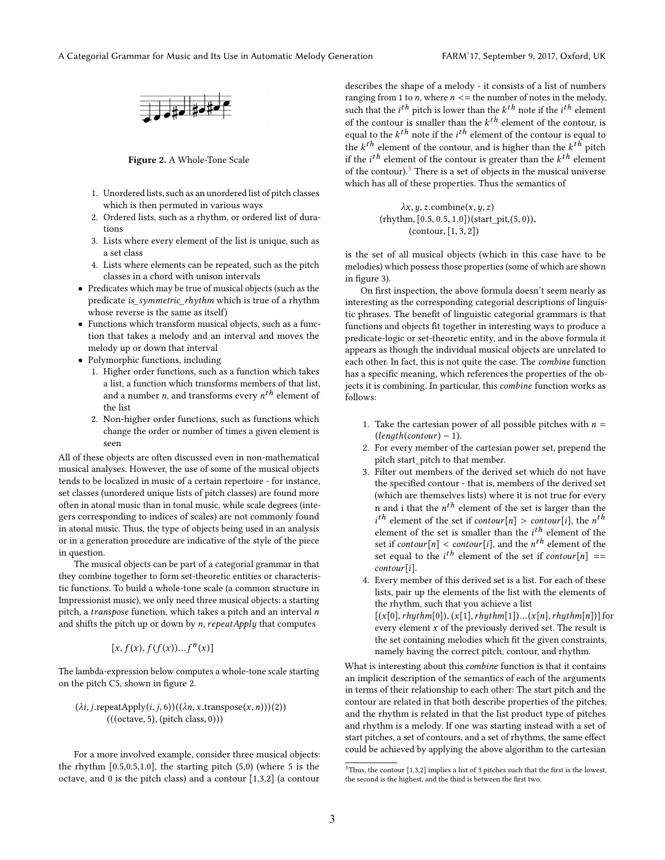

Figure 2. A Whole-Tone Scale

- 1. Unordered lists, such as an unordered list of pitch classes which is then permuted in various ways
- 2. Ordered lists, such as a rhythm, or ordered list of durations
- 3. Lists where every element of the list is unique, such as a set class
- 4. Lists where elements can be repeated, such as the pitch classes in a chord with unison intervals
- Predicates which may be true of musical objects (such as the predicate is\_symmetric\_rhythm which is true of a rhythm whose reverse is the same as itself)
- Functions which transform musical objects, such as a function that takes a melody and an interval and moves the melody up or down that interval
- Polymorphic functions, including
	- 1. Higher order functions, such as a function which takes a list, a function which transforms members of that list, and a number *n*, and transforms every  $n^{th}$  element of the list the list
	- 2. Non-higher order functions, such as functions which change the order or number of times a given element is seen

All of these objects are often discussed even in non-mathematical musical analyses. However, the use of some of the musical objects tends to be localized in music of a certain repertoire - for instance, set classes (unordered unique lists of pitch classes) are found more often in atonal music than in tonal music, while scale degrees (integers corresponding to indices of scales) are not commonly found in atonal music. Thus, the type of objects being used in an analysis or in a generation procedure are indicative of the style of the piece in question.

The musical objects can be part of a categorial grammar in that they combine together to form set-theoretic entities or characteristic functions. To build a whole-tone scale (a common structure in Impressionist music), we only need three musical objects: a starting pitch, a transpose function, which takes a pitch and an interval  $n$ and shifts the pitch up or down by n, repeatApply that computes

$$
[x, f(x), f(f(x))...fn(x)]
$$

The lambda-expression below computes a whole-tone scale starting on the pitch C5, shown in figure 2.

$$
(\lambda i, j.\text{repeatApply}(i, j, 6))((\lambda n, x.\text{transpose}(x, n)))(2))
$$

$$
(((\text{octave}, 5), (\text{pitch class}, 0)))
$$

For a more involved example, consider three musical objects: the rhythm  $[0.5, 0.5, 1.0]$ , the starting pitch  $(5,0)$  (where 5 is the octave, and 0 is the pitch class) and a contour [1,3,2] (a contour

describes the shape of a melody - it consists of a list of numbers ranging from 1 to *n*, where  $n \leq 1$  the number of notes in the melody, such that the *i* th pitch is lower than the  $k^{th}$  note if the *i*<sup>th</sup> element<br>r is smaller than the *k*<sup>th</sup> element of the conteur is of the contour is smaller than the  $k^{th}$  element of the contour, is<br>equal to the  $k^{th}$  note if the *i*<sup>th</sup> element of the contour is equal to equal to the  $k^{th}$  note if the *i*<sup>th</sup> element of the contour is equal to the  $k^{th}$  element of the contour and is higher than the  $k^{th}$  nitch the  $k^{th}$  element of the contour, and is higher than the  $k^{th}$  pitch if the *i*<sup>th</sup> element of the contour is greater than the *k*<sup>th</sup> element if the *i*<sup>th</sup> element of the contour is greater than the  $k^{th}$  element<br>of the contour)<sup>3</sup> There is a set of objects in the musical universe of the contour). $3$  There is a set of objects in the musical universe which has all of these properties. Thus the semantics of

> $\lambda x, y, z$ .combine $(x, y, z)$ (rhythm,[0.5, <sup>0</sup>.5, <sup>1</sup>.0])(start\_pit,(5, <sup>0</sup>)), (contour,[1, <sup>3</sup>, 2])

is the set of all musical objects (which in this case have to be melodies) which possess those properties (some of which are shown in figure 3).

On first inspection, the above formula doesn't seem nearly as interesting as the corresponding categorial descriptions of linguistic phrases. The benefit of linguistic categorial grammars is that functions and objects fit together in interesting ways to produce a predicate-logic or set-theoretic entity, and in the above formula it appears as though the individual musical objects are unrelated to each other. In fact, this is not quite the case. The combine function has a specific meaning, which references the properties of the objects it is combining. In particular, this combine function works as follows:

- 1. Take the cartesian power of all possible pitches with  $n =$  $(length(contour) - 1).$
- 2. For every member of the cartesian power set, prepend the pitch start\_pitch to that member.
- 3. Filter out members of the derived set which do not have the specified contour - that is, members of the derived set (which are themselves lists) where it is not true for every n and i that the  $n^{th}$  element of the set is larger than the  $x^{th}$  element of the set if contenulal  $\sum$  contenulation  $x^{th}$ element of the set is smaller than the  $i^{th}$  element of the th element of the set if  $contour[n] > contour[i]$ , the  $n<sup>th</sup>$  element of the set is smaller than the *i*<sup>th</sup> element of the element of the set is smaller than the  $i^{th}$  element of the set if  $contour[n] < contour[i]$ , and the  $n^{th}$  element of the set if  $contour[n] < contour[i]$ , and the *n*<br>set equal to the *i<sup>th</sup>* element of the set set equal to the *i*<sup>th</sup> element of the set if *contour*[n] == contour[i].
- 4. Every member of this derived set is a list. For each of these lists, pair up the elements of the list with the elements of the rhythm, such that you achieve a list  $[(x[0],rhythm[0]), (x[1],rhythm[1])....(x[n],rhythm[n])]$  for every element  $x$  of the previously derived set. The result is the set containing melodies which fit the given constraints, namely having the correct pitch, contour, and rhythm.

What is interesting about this combine function is that it contains an implicit description of the semantics of each of the arguments in terms of their relationship to each other: The start pitch and the contour are related in that both describe properties of the pitches, and the rhythm is related in that the list product type of pitches and rhythm is a melody. If one was starting instead with a set of start pitches, a set of contours, and a set of rhythms, the same effect could be achieved by applying the above algorithm to the cartesian

<span id="page-2-0"></span> $\overline{3}$ Thus, the contour [1,3,2] implies a list of 3 pitches such that the first is the lowest, the second is the highest, and the third is between the first two.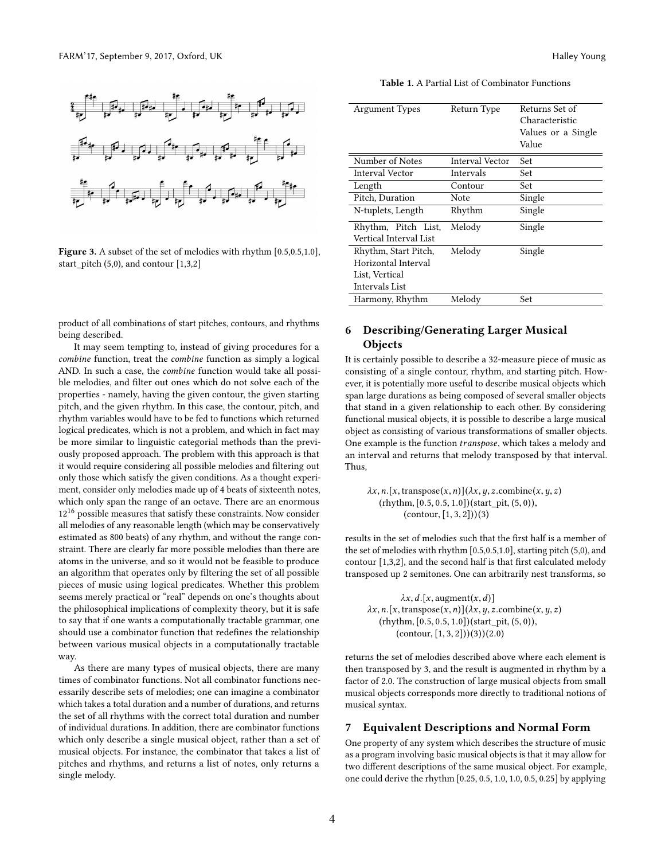

Figure 3. A subset of the set of melodies with rhythm [0.5,0.5,1.0], start\_pitch (5,0), and contour [1,3,2]

product of all combinations of start pitches, contours, and rhythms being described.

It may seem tempting to, instead of giving procedures for a combine function, treat the combine function as simply a logical AND. In such a case, the combine function would take all possible melodies, and filter out ones which do not solve each of the properties - namely, having the given contour, the given starting pitch, and the given rhythm. In this case, the contour, pitch, and rhythm variables would have to be fed to functions which returned logical predicates, which is not a problem, and which in fact may be more similar to linguistic categorial methods than the previously proposed approach. The problem with this approach is that it would require considering all possible melodies and filtering out only those which satisfy the given conditions. As a thought experiment, consider only melodies made up of 4 beats of sixteenth notes, which only span the range of an octave. There are an enormous  $12^{16}$  possible measures that satisfy these constraints. Now consider all melodies of any reasonable length (which may be conservatively estimated as 800 beats) of any rhythm, and without the range constraint. There are clearly far more possible melodies than there are atoms in the universe, and so it would not be feasible to produce an algorithm that operates only by filtering the set of all possible pieces of music using logical predicates. Whether this problem seems merely practical or "real" depends on one's thoughts about the philosophical implications of complexity theory, but it is safe to say that if one wants a computationally tractable grammar, one should use a combinator function that redefines the relationship between various musical objects in a computationally tractable way.

As there are many types of musical objects, there are many times of combinator functions. Not all combinator functions necessarily describe sets of melodies; one can imagine a combinator which takes a total duration and a number of durations, and returns the set of all rhythms with the correct total duration and number of individual durations. In addition, there are combinator functions which only describe a single musical object, rather than a set of musical objects. For instance, the combinator that takes a list of pitches and rhythms, and returns a list of notes, only returns a single melody.

| <b>Table 1.</b> A Partial List of Combinator Functions |
|--------------------------------------------------------|
|                                                        |

| <b>Argument Types</b>  | Return Type            | Returns Set of     |
|------------------------|------------------------|--------------------|
|                        |                        | Characteristic     |
|                        |                        | Values or a Single |
|                        |                        | Value              |
| Number of Notes        | <b>Interval Vector</b> | Set                |
| Interval Vector        | Intervals              | Set                |
| Length                 | Contour                | Set                |
| Pitch, Duration        | Note                   | Single             |
| N-tuplets, Length      | Rhythm                 | Single             |
| Rhythm, Pitch List,    | Melody                 | Single             |
| Vertical Interval List |                        |                    |
| Rhythm, Start Pitch,   | Melody                 | Single             |
| Horizontal Interval    |                        |                    |
| List, Vertical         |                        |                    |
| Intervals List         |                        |                    |
| Harmony, Rhythm        | Melody                 | Set                |

# 6 Describing/Generating Larger Musical **Objects**

It is certainly possible to describe a 32-measure piece of music as consisting of a single contour, rhythm, and starting pitch. However, it is potentially more useful to describe musical objects which span large durations as being composed of several smaller objects that stand in a given relationship to each other. By considering functional musical objects, it is possible to describe a large musical object as consisting of various transformations of smaller objects. One example is the function transpose, which takes a melody and an interval and returns that melody transposed by that interval. Thus,

 $\lambda x, n.$ [x, transpose(x, n)]( $\lambda x, y, z$ .combine(x, y, z) (rhythm,[0.5, <sup>0</sup>.5, <sup>1</sup>.0])(start\_pit, (5, <sup>0</sup>)),  $(contour, [1, 3, 2]))(3)$ 

results in the set of melodies such that the first half is a member of the set of melodies with rhythm [0.5,0.5,1.0], starting pitch (5,0), and contour [1,3,2], and the second half is that first calculated melody transposed up 2 semitones. One can arbitrarily nest transforms, so

 $\lambda x, d.$ [x, augment $(x, d)$ ]  $\lambda x, n.$ [x, transpose(x, n)]( $\lambda x, y, z$ .combine(x, y, z) (rhythm,[0.5, <sup>0</sup>.5, <sup>1</sup>.0])(start\_pit, (5, <sup>0</sup>)),  $(contour, [1, 3, 2]))(3)(2.0)$ 

returns the set of melodies described above where each element is then transposed by 3, and the result is augmented in rhythm by a factor of 2.0. The construction of large musical objects from small musical objects corresponds more directly to traditional notions of musical syntax.

#### 7 Equivalent Descriptions and Normal Form

One property of any system which describes the structure of music as a program involving basic musical objects is that it may allow for two different descriptions of the same musical object. For example, one could derive the rhythm [0.25, 0.5, 1.0, 1.0, 0.5, 0.25] by applying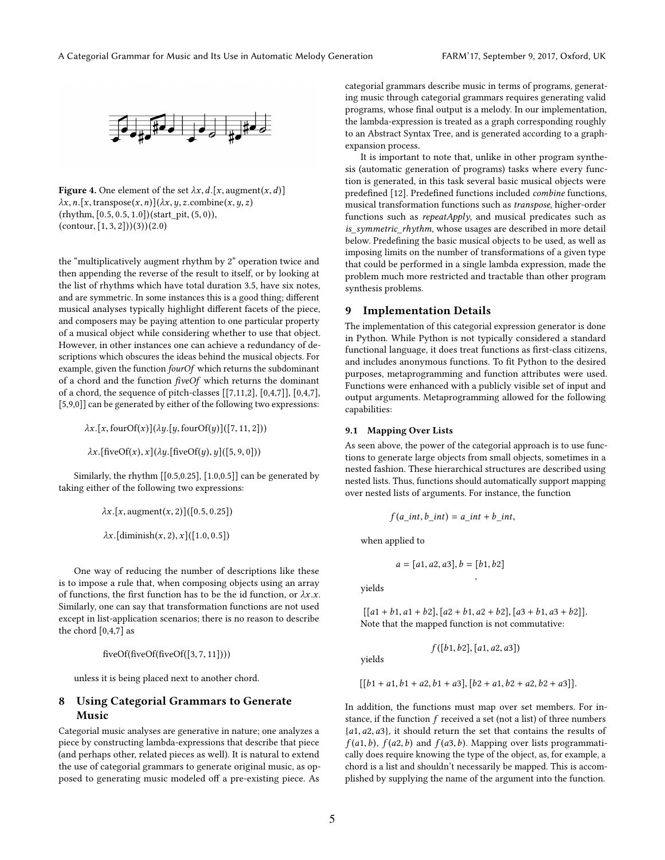

**Figure 4.** One element of the set  $\lambda x$ ,  $d$ . [x, augment(x, d)]  $\lambda x, n.$ [x, transpose(x, n)]( $\lambda x, y, z$ .combine(x, y, z) (rhythm,[0.5, <sup>0</sup>.5, <sup>1</sup>.0])(start\_pit, (5, <sup>0</sup>)),  $(contour, [1, 3, 2]))(3)(2.0)$ 

the "multiplicatively augment rhythm by 2" operation twice and then appending the reverse of the result to itself, or by looking at the list of rhythms which have total duration 3.5, have six notes, and are symmetric. In some instances this is a good thing; different musical analyses typically highlight different facets of the piece, and composers may be paying attention to one particular property of a musical object while considering whether to use that object. However, in other instances one can achieve a redundancy of descriptions which obscures the ideas behind the musical objects. For example, given the function fourOf which returns the subdominant of a chord and the function fiveOf which returns the dominant of a chord, the sequence of pitch-classes  $[7,11,2]$ ,  $[0,4,7]$ ,  $[0,4,7]$ , [5,9,0]] can be generated by either of the following two expressions:

 $\lambda x. [x, fourOf(x)](\lambda y. [y, fourOf(y)]([7, 11, 2]))$ 

 $\lambda x.$ [fiveOf(x), x]( $\lambda y.$ [fiveOf(y), y]([5, 9, 0]))

Similarly, the rhythm [[0.5,0.25], [1.0,0.5]] can be generated by taking either of the following two expressions:

 $\lambda x. [x, \text{augment}(x, 2)] ([0.5, 0.25])$ 

 $\lambda x.$ [diminish(x, 2), x]([1.0, 0.5])

One way of reducing the number of descriptions like these is to impose a rule that, when composing objects using an array of functions, the first function has to be the id function, or  $\lambda x.x$ . Similarly, one can say that transformation functions are not used except in list-application scenarios; there is no reason to describe the chord [0,4,7] as

fiveOf(fiveOf(fiveOf([3, <sup>7</sup>, 11])))

unless it is being placed next to another chord.

# 8 Using Categorial Grammars to Generate Music

Categorial music analyses are generative in nature; one analyzes a piece by constructing lambda-expressions that describe that piece (and perhaps other, related pieces as well). It is natural to extend the use of categorial grammars to generate original music, as opposed to generating music modeled off a pre-existing piece. As

categorial grammars describe music in terms of programs, generating music through categorial grammars requires generating valid programs, whose final output is a melody. In our implementation, the lambda-expression is treated as a graph corresponding roughly to an Abstract Syntax Tree, and is generated according to a graphexpansion process.

It is important to note that, unlike in other program synthesis (automatic generation of programs) tasks where every function is generated, in this task several basic musical objects were predefined [12]. Predefined functions included combine functions, musical transformation functions such as transpose, higher-order functions such as repeatApply, and musical predicates such as is\_symmetric\_rhythm, whose usages are described in more detail below. Predefining the basic musical objects to be used, as well as imposing limits on the number of transformations of a given type that could be performed in a single lambda expression, made the problem much more restricted and tractable than other program synthesis problems.

## 9 Implementation Details

The implementation of this categorial expression generator is done in Python. While Python is not typically considered a standard functional language, it does treat functions as first-class citizens, and includes anonymous functions. To fit Python to the desired purposes, metaprogramming and function attributes were used. Functions were enhanced with a publicly visible set of input and output arguments. Metaprogramming allowed for the following capabilities:

## 9.1 Mapping Over Lists

As seen above, the power of the categorial approach is to use functions to generate large objects from small objects, sometimes in a nested fashion. These hierarchical structures are described using nested lists. Thus, functions should automatically support mapping over nested lists of arguments. For instance, the function

$$
f(a\_int, b\_int) = a\_int + b\_int,
$$

when applied to

$$
a = [a1, a2, a3], b = [b1, b2]
$$

yields

 $[[a1 + b1, a1 + b2], [a2 + b1, a2 + b2], [a3 + b1, a3 + b2]].$ Note that the mapped function is not commutative:

 $f([b1, b2], [a1, a2, a3])$ 

,

yields

$$
[[b1 + a1, b1 + a2, b1 + a3], [b2 + a1, b2 + a2, b2 + a3]].
$$

In addition, the functions must map over set members. For instance, if the function f received a set (not a list) of three numbers  ${a1, a2, a3}$ , it should return the set that contains the results of  $f(a1,b)$ ,  $f(a2,b)$  and  $f(a3,b)$ . Mapping over lists programmatically does require knowing the type of the object, as, for example, a chord is a list and shouldn't necessarily be mapped. This is accomplished by supplying the name of the argument into the function.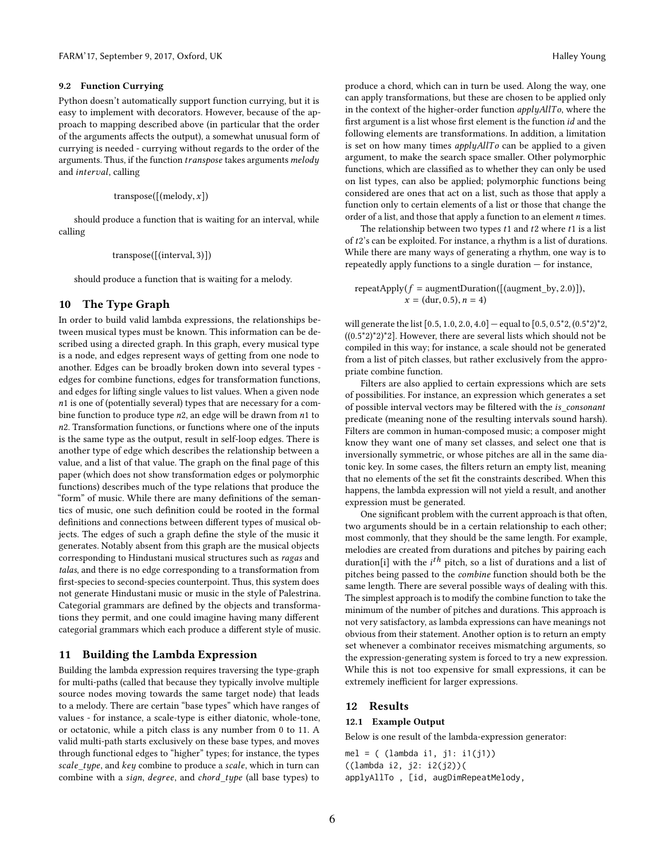#### 9.2 Function Currying

Python doesn't automatically support function currying, but it is easy to implement with decorators. However, because of the approach to mapping described above (in particular that the order of the arguments affects the output), a somewhat unusual form of currying is needed - currying without regards to the order of the arguments. Thus, if the function  $transpose$  takes arguments  $melody$ and interval, calling

```
transpose([(\text{melody}, x])
```
should produce a function that is waiting for an interval, while calling

transpose([(interval, <sup>3</sup>)])

should produce a function that is waiting for a melody.

# 10 The Type Graph

In order to build valid lambda expressions, the relationships between musical types must be known. This information can be described using a directed graph. In this graph, every musical type is a node, and edges represent ways of getting from one node to another. Edges can be broadly broken down into several types edges for combine functions, edges for transformation functions, and edges for lifting single values to list values. When a given node n<sup>1</sup> is one of (potentially several) types that are necessary for a combine function to produce type n2, an edge will be drawn from n<sup>1</sup> to n2. Transformation functions, or functions where one of the inputs is the same type as the output, result in self-loop edges. There is another type of edge which describes the relationship between a value, and a list of that value. The graph on the final page of this paper (which does not show transformation edges or polymorphic functions) describes much of the type relations that produce the "form" of music. While there are many definitions of the semantics of music, one such definition could be rooted in the formal definitions and connections between different types of musical objects. The edges of such a graph define the style of the music it generates. Notably absent from this graph are the musical objects corresponding to Hindustani musical structures such as ragas and talas, and there is no edge corresponding to a transformation from first-species to second-species counterpoint. Thus, this system does not generate Hindustani music or music in the style of Palestrina. Categorial grammars are defined by the objects and transformations they permit, and one could imagine having many different categorial grammars which each produce a different style of music.

# 11 Building the Lambda Expression

Building the lambda expression requires traversing the type-graph for multi-paths (called that because they typically involve multiple source nodes moving towards the same target node) that leads to a melody. There are certain "base types" which have ranges of values - for instance, a scale-type is either diatonic, whole-tone, or octatonic, while a pitch class is any number from 0 to 11. A valid multi-path starts exclusively on these base types, and moves through functional edges to "higher" types; for instance, the types scale\_type, and key combine to produce a scale, which in turn can combine with a sign, degree, and chord\_type (all base types) to

produce a chord, which can in turn be used. Along the way, one can apply transformations, but these are chosen to be applied only in the context of the higher-order function applyAllTo, where the first argument is a list whose first element is the function id and the following elements are transformations. In addition, a limitation is set on how many times *applyAllTo* can be applied to a given argument, to make the search space smaller. Other polymorphic functions, which are classified as to whether they can only be used on list types, can also be applied; polymorphic functions being considered are ones that act on a list, such as those that apply a function only to certain elements of a list or those that change the order of a list, and those that apply a function to an element  $n$  times.

The relationship between two types  $t1$  and  $t2$  where  $t1$  is a list of t2's can be exploited. For instance, a rhythm is a list of durations. While there are many ways of generating a rhythm, one way is to repeatedly apply functions to a single duration — for instance,

 $repeatApply(f = augmentDuration([(augment_by, 2.0)]),$  $x = (dur, 0.5), n = 4)$ 

will generate the list  $[0.5, 1.0, 2.0, 4.0]$  – equal to  $[0.5, 0.5^*2, (0.5^*2)^*2,$  $((0.5<sup>*</sup>2)<sup>*</sup>2).$  However, there are several lists which should not be compiled in this way; for instance, a scale should not be generated from a list of pitch classes, but rather exclusively from the appropriate combine function.

Filters are also applied to certain expressions which are sets of possibilities. For instance, an expression which generates a set of possible interval vectors may be filtered with the is\_consonant predicate (meaning none of the resulting intervals sound harsh). Filters are common in human-composed music; a composer might know they want one of many set classes, and select one that is inversionally symmetric, or whose pitches are all in the same diatonic key. In some cases, the filters return an empty list, meaning that no elements of the set fit the constraints described. When this happens, the lambda expression will not yield a result, and another expression must be generated.

One significant problem with the current approach is that often, two arguments should be in a certain relationship to each other; most commonly, that they should be the same length. For example, melodies are created from durations and pitches by pairing each duration[i] with the  $i<sup>th</sup>$  pitch, so a list of durations and a list of pitches being passed to the combine function should both be the pitches being passed to the combine function should both be the same length. There are several possible ways of dealing with this. The simplest approach is to modify the combine function to take the minimum of the number of pitches and durations. This approach is not very satisfactory, as lambda expressions can have meanings not obvious from their statement. Another option is to return an empty set whenever a combinator receives mismatching arguments, so the expression-generating system is forced to try a new expression. While this is not too expensive for small expressions, it can be extremely inefficient for larger expressions.

## 12 Results

#### 12.1 Example Output

Below is one result of the lambda-expression generator:

mel = (  $(lambda i1, j1: i1(j1))$ ((lambda i2, j2: i2(j2))( applyAllTo , [id, augDimRepeatMelody,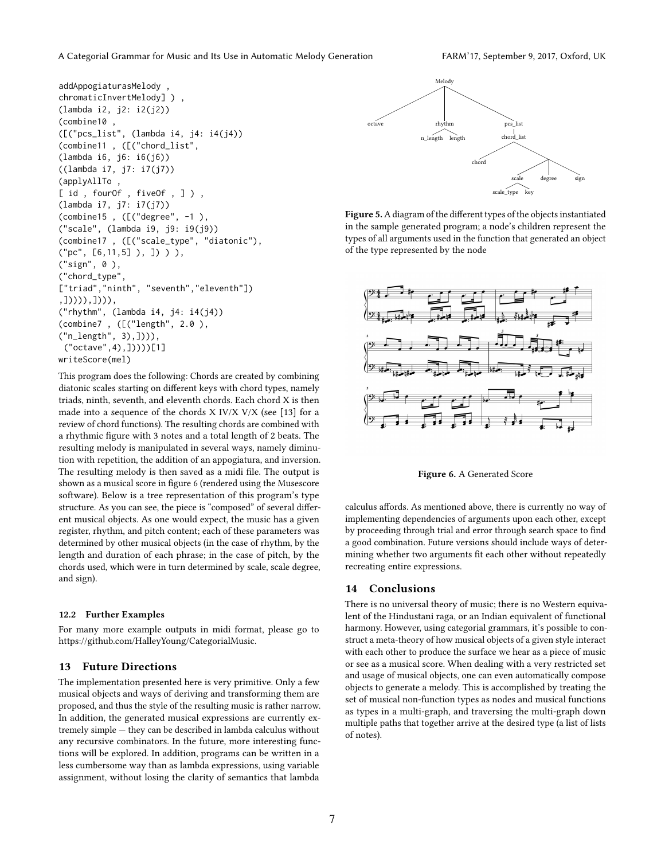addAppogiaturasMelody , chromaticInvertMelody] ) , (lambda i2, j2: i2(j2)) (combine10 , ([("pcs\_list", (lambda i4, j4: i4(j4)) (combine11 , ([("chord\_list", (lambda i6, j6: i6(j6)) ((lambda i7, j7: i7(j7)) (applyAllTo , [ id , fourOf , fiveOf , ] ) , (lambda i7, j7: i7(j7)) (combine15 , ([("degree", -1 ), ("scale", (lambda i9, j9: i9(j9)) (combine17 , ([("scale\_type", "diatonic"),  $("pc", [6, 11, 5] ), ]) )$ , ("sign", 0 ), ("chord\_type", ["triad","ninth", "seventh","eleventh"]) ,])))),]))), ("rhythm", (lambda i4, j4: i4(j4)) (combine7 , ([("length", 2.0 ), ("n\_length", 3),]))), ("octave",4),]))))[1] writeScore(mel)

This program does the following: Chords are created by combining diatonic scales starting on different keys with chord types, namely triads, ninth, seventh, and eleventh chords. Each chord X is then made into a sequence of the chords X IV/X V/X (see [13] for a review of chord functions). The resulting chords are combined with a rhythmic figure with 3 notes and a total length of 2 beats. The resulting melody is manipulated in several ways, namely diminution with repetition, the addition of an appogiatura, and inversion. The resulting melody is then saved as a midi file. The output is shown as a musical score in figure 6 (rendered using the Musescore software). Below is a tree representation of this program's type structure. As you can see, the piece is "composed" of several different musical objects. As one would expect, the music has a given register, rhythm, and pitch content; each of these parameters was determined by other musical objects (in the case of rhythm, by the length and duration of each phrase; in the case of pitch, by the chords used, which were in turn determined by scale, scale degree, and sign).

#### 12.2 Further Examples

For many more example outputs in midi format, please go to https://github.com/HalleyYoung/CategorialMusic.

#### 13 Future Directions

The implementation presented here is very primitive. Only a few musical objects and ways of deriving and transforming them are proposed, and thus the style of the resulting music is rather narrow. In addition, the generated musical expressions are currently extremely simple — they can be described in lambda calculus without any recursive combinators. In the future, more interesting functions will be explored. In addition, programs can be written in a less cumbersome way than as lambda expressions, using variable assignment, without losing the clarity of semantics that lambda



Figure 5. A diagram of the different types of the objects instantiated in the sample generated program; a node's children represent the types of all arguments used in the function that generated an object of the type represented by the node



Figure 6. A Generated Score

calculus affords. As mentioned above, there is currently no way of implementing dependencies of arguments upon each other, except by proceeding through trial and error through search space to find a good combination. Future versions should include ways of determining whether two arguments fit each other without repeatedly recreating entire expressions.

#### 14 Conclusions

There is no universal theory of music; there is no Western equivalent of the Hindustani raga, or an Indian equivalent of functional harmony. However, using categorial grammars, it's possible to construct a meta-theory of how musical objects of a given style interact with each other to produce the surface we hear as a piece of music or see as a musical score. When dealing with a very restricted set and usage of musical objects, one can even automatically compose objects to generate a melody. This is accomplished by treating the set of musical non-function types as nodes and musical functions as types in a multi-graph, and traversing the multi-graph down multiple paths that together arrive at the desired type (a list of lists of notes).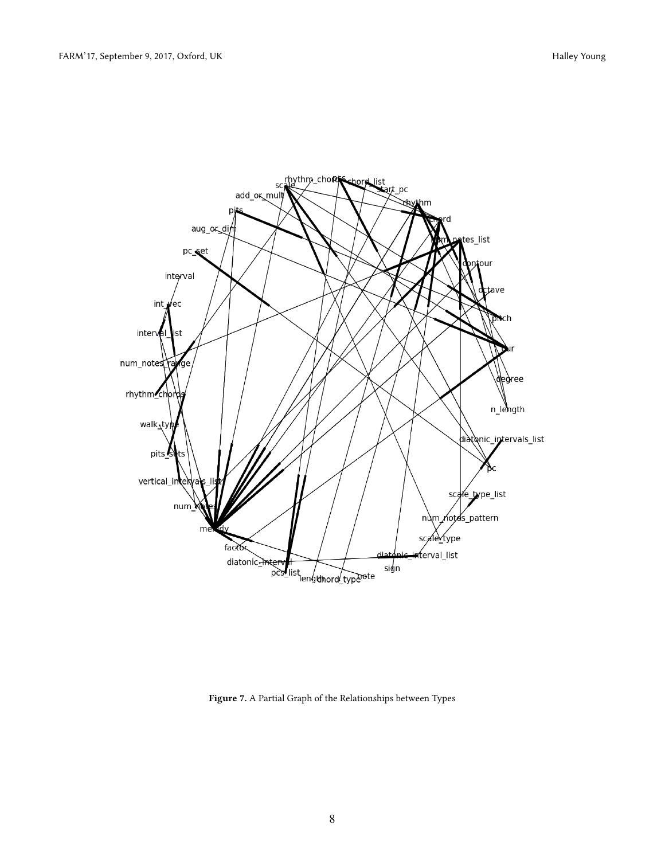

Figure 7. A Partial Graph of the Relationships between Types